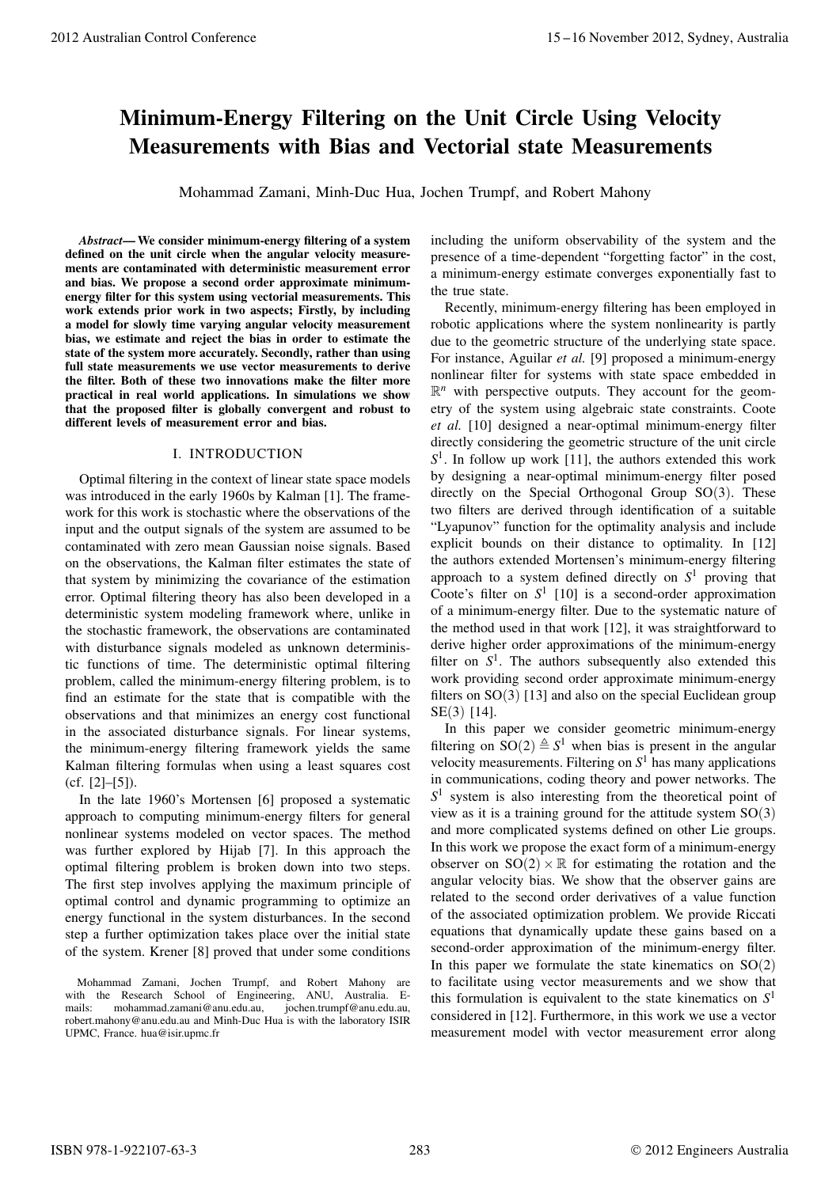# Minimum-Energy Filtering on the Unit Circle Using Velocity Measurements with Bias and Vectorial state Measurements

Mohammad Zamani, Minh-Duc Hua, Jochen Trumpf, and Robert Mahony

*Abstract*— We consider minimum-energy filtering of a system defined on the unit circle when the angular velocity measurements are contaminated with deterministic measurement error and bias. We propose a second order approximate minimumenergy filter for this system using vectorial measurements. This work extends prior work in two aspects; Firstly, by including a model for slowly time varying angular velocity measurement bias, we estimate and reject the bias in order to estimate the state of the system more accurately. Secondly, rather than using full state measurements we use vector measurements to derive the filter. Both of these two innovations make the filter more practical in real world applications. In simulations we show that the proposed filter is globally convergent and robust to different levels of measurement error and bias.

## I. INTRODUCTION

Optimal filtering in the context of linear state space models was introduced in the early 1960s by Kalman [1]. The framework for this work is stochastic where the observations of the input and the output signals of the system are assumed to be contaminated with zero mean Gaussian noise signals. Based on the observations, the Kalman filter estimates the state of that system by minimizing the covariance of the estimation error. Optimal filtering theory has also been developed in a deterministic system modeling framework where, unlike in the stochastic framework, the observations are contaminated with disturbance signals modeled as unknown deterministic functions of time. The deterministic optimal filtering problem, called the minimum-energy filtering problem, is to find an estimate for the state that is compatible with the observations and that minimizes an energy cost functional in the associated disturbance signals. For linear systems, the minimum-energy filtering framework yields the same Kalman filtering formulas when using a least squares cost (cf. [2]–[5]).

In the late 1960's Mortensen [6] proposed a systematic approach to computing minimum-energy filters for general nonlinear systems modeled on vector spaces. The method was further explored by Hijab [7]. In this approach the optimal filtering problem is broken down into two steps. The first step involves applying the maximum principle of optimal control and dynamic programming to optimize an energy functional in the system disturbances. In the second step a further optimization takes place over the initial state of the system. Krener [8] proved that under some conditions including the uniform observability of the system and the presence of a time-dependent "forgetting factor" in the cost, a minimum-energy estimate converges exponentially fast to the true state.

Recently, minimum-energy filtering has been employed in robotic applications where the system nonlinearity is partly due to the geometric structure of the underlying state space. For instance, Aguilar *et al.* [9] proposed a minimum-energy nonlinear filter for systems with state space embedded in  $\mathbb{R}^n$  with perspective outputs. They account for the geometry of the system using algebraic state constraints. Coote *et al.* [10] designed a near-optimal minimum-energy filter directly considering the geometric structure of the unit circle  $S<sup>1</sup>$ . In follow up work [11], the authors extended this work by designing a near-optimal minimum-energy filter posed directly on the Special Orthogonal Group  $SO(3)$ . These two filters are derived through identification of a suitable "Lyapunov" function for the optimality analysis and include explicit bounds on their distance to optimality. In [12] the authors extended Mortensen's minimum-energy filtering approach to a system defined directly on  $S<sup>1</sup>$  proving that Coote's filter on  $S<sup>1</sup>$  [10] is a second-order approximation of a minimum-energy filter. Due to the systematic nature of the method used in that work [12], it was straightforward to derive higher order approximations of the minimum-energy filter on  $S^1$ . The authors subsequently also extended this work providing second order approximate minimum-energy filters on  $SO(3)$  [13] and also on the special Euclidean group SE(3) [14].

In this paper we consider geometric minimum-energy filtering on  $SO(2) \triangleq S^1$  when bias is present in the angular velocity measurements. Filtering on  $S<sup>1</sup>$  has many applications in communications, coding theory and power networks. The S<sup>1</sup> system is also interesting from the theoretical point of view as it is a training ground for the attitude system  $SO(3)$ and more complicated systems defined on other Lie groups. In this work we propose the exact form of a minimum-energy observer on  $SO(2) \times \mathbb{R}$  for estimating the rotation and the angular velocity bias. We show that the observer gains are related to the second order derivatives of a value function of the associated optimization problem. We provide Riccati equations that dynamically update these gains based on a second-order approximation of the minimum-energy filter. In this paper we formulate the state kinematics on  $SO(2)$ to facilitate using vector measurements and we show that this formulation is equivalent to the state kinematics on *S* 1 considered in [12]. Furthermore, in this work we use a vector measurement model with vector measurement error along

Mohammad Zamani, Jochen Trumpf, and Robert Mahony are with the Research School of Engineering, ANU, Australia. Emails: mohammad.zamani@anu.edu.au, jochen.trumpf@anu.edu.au, robert.mahony@anu.edu.au and Minh-Duc Hua is with the laboratory ISIR UPMC, France. hua@isir.upmc.fr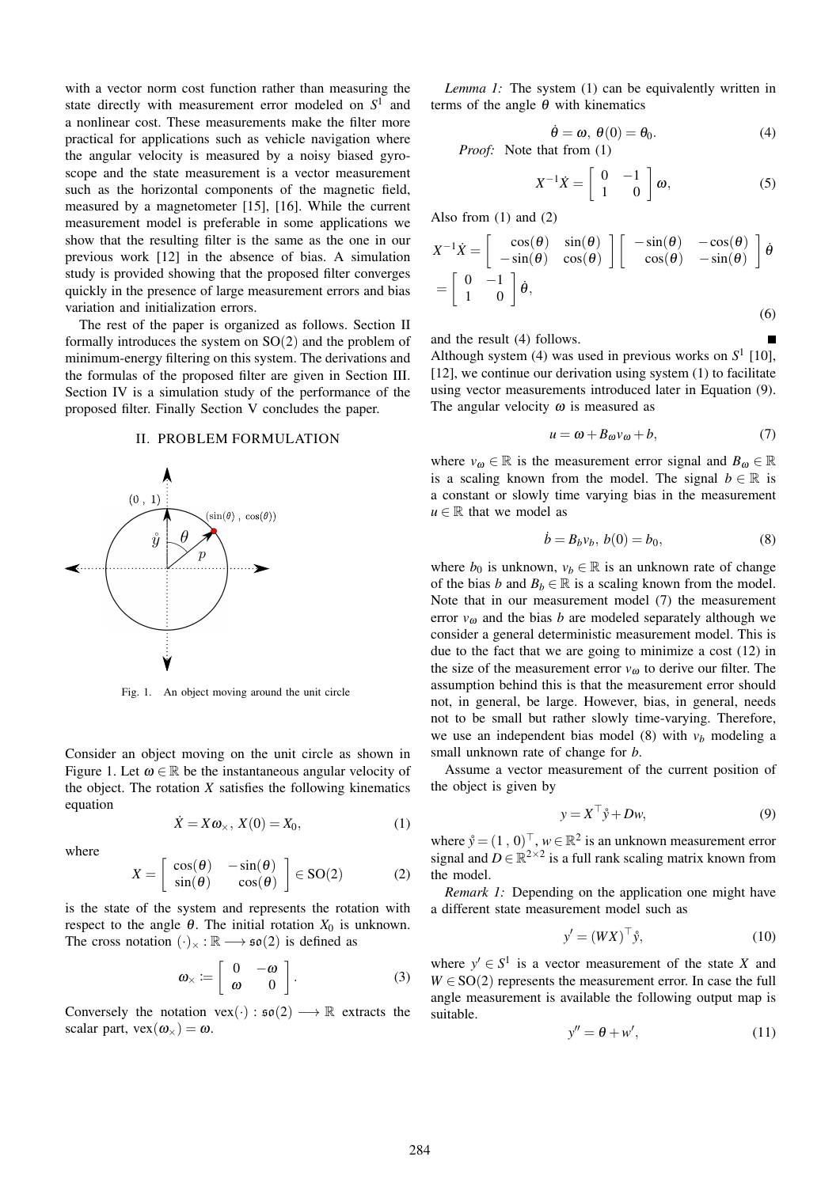with a vector norm cost function rather than measuring the state directly with measurement error modeled on *S* 1 and a nonlinear cost. These measurements make the filter more practical for applications such as vehicle navigation where the angular velocity is measured by a noisy biased gyroscope and the state measurement is a vector measurement such as the horizontal components of the magnetic field, measured by a magnetometer [15], [16]. While the current measurement model is preferable in some applications we show that the resulting filter is the same as the one in our previous work [12] in the absence of bias. A simulation study is provided showing that the proposed filter converges quickly in the presence of large measurement errors and bias variation and initialization errors.

The rest of the paper is organized as follows. Section II formally introduces the system on SO(2) and the problem of minimum-energy filtering on this system. The derivations and the formulas of the proposed filter are given in Section III. Section IV is a simulation study of the performance of the proposed filter. Finally Section V concludes the paper.

## II. PROBLEM FORMULATION



Fig. 1. An object moving around the unit circle

Consider an object moving on the unit circle as shown in Figure 1. Let  $\omega \in \mathbb{R}$  be the instantaneous angular velocity of the object. The rotation  $X$  satisfies the following kinematics equation

$$
\dot{X} = X\omega_{\times}, X(0) = X_0,\tag{1}
$$

where

$$
X = \begin{bmatrix} \cos(\theta) & -\sin(\theta) \\ \sin(\theta) & \cos(\theta) \end{bmatrix} \in SO(2)
$$
 (2)

is the state of the system and represents the rotation with respect to the angle  $\theta$ . The initial rotation  $X_0$  is unknown. The cross notation  $(\cdot)_\times : \mathbb{R} \longrightarrow \mathfrak{so}(2)$  is defined as

$$
\omega_{\times} := \left[ \begin{array}{cc} 0 & -\omega \\ \omega & 0 \end{array} \right]. \tag{3}
$$

Conversely the notation  $\text{vex}(\cdot) : \mathfrak{so}(2) \longrightarrow \mathbb{R}$  extracts the scalar part,  $\text{vex}(\omega_{\times}) = \omega$ .

*Lemma 1:* The system (1) can be equivalently written in terms of the angle  $\theta$  with kinematics

$$
\dot{\theta} = \omega, \ \theta(0) = \theta_0. \tag{4}
$$

*Proof:* Note that from (1)

$$
X^{-1}\dot{X} = \begin{bmatrix} 0 & -1 \\ 1 & 0 \end{bmatrix} \omega,
$$
 (5)

Also from (1) and (2)

$$
X^{-1}\dot{X} = \begin{bmatrix} \cos(\theta) & \sin(\theta) \\ -\sin(\theta) & \cos(\theta) \end{bmatrix} \begin{bmatrix} -\sin(\theta) & -\cos(\theta) \\ \cos(\theta) & -\sin(\theta) \end{bmatrix} \dot{\theta}
$$

$$
= \begin{bmatrix} 0 & -1 \\ 1 & 0 \end{bmatrix} \dot{\theta}, \tag{6}
$$

and the result (4) follows.

Although system (4) was used in previous works on  $S^1$  [10], [12], we continue our derivation using system (1) to facilitate using vector measurements introduced later in Equation (9). The angular velocity  $\omega$  is measured as

$$
u = \omega + B_{\omega} v_{\omega} + b,\tag{7}
$$

where  $v_{\omega} \in \mathbb{R}$  is the measurement error signal and  $B_{\omega} \in \mathbb{R}$ is a scaling known from the model. The signal  $b \in \mathbb{R}$  is a constant or slowly time varying bias in the measurement  $u \in \mathbb{R}$  that we model as

$$
\dot{b} = B_b v_b, \, b(0) = b_0,\tag{8}
$$

where  $b_0$  is unknown,  $v_b \in \mathbb{R}$  is an unknown rate of change of the bias *b* and  $B_b \in \mathbb{R}$  is a scaling known from the model. Note that in our measurement model (7) the measurement error  $v_{\omega}$  and the bias *b* are modeled separately although we consider a general deterministic measurement model. This is due to the fact that we are going to minimize a cost (12) in the size of the measurement error  $v_{\omega}$  to derive our filter. The assumption behind this is that the measurement error should not, in general, be large. However, bias, in general, needs not to be small but rather slowly time-varying. Therefore, we use an independent bias model (8) with  $v<sub>b</sub>$  modeling a small unknown rate of change for *b*.

Assume a vector measurement of the current position of the object is given by

$$
y = X^{\top} \mathbf{\hat{y}} + D\mathbf{w},\tag{9}
$$

where  $\mathring{y} = (1, 0)^\top$ ,  $w \in \mathbb{R}^2$  is an unknown measurement error signal and  $D \in \mathbb{R}^{2 \times 2}$  is a full rank scaling matrix known from the model.

*Remark 1:* Depending on the application one might have a different state measurement model such as

$$
y' = (WX)^{\top} \hat{y}, \tag{10}
$$

where  $y' \in S^1$  is a vector measurement of the state *X* and  $W \in SO(2)$  represents the measurement error. In case the full angle measurement is available the following output map is suitable.

$$
y'' = \theta + w', \tag{11}
$$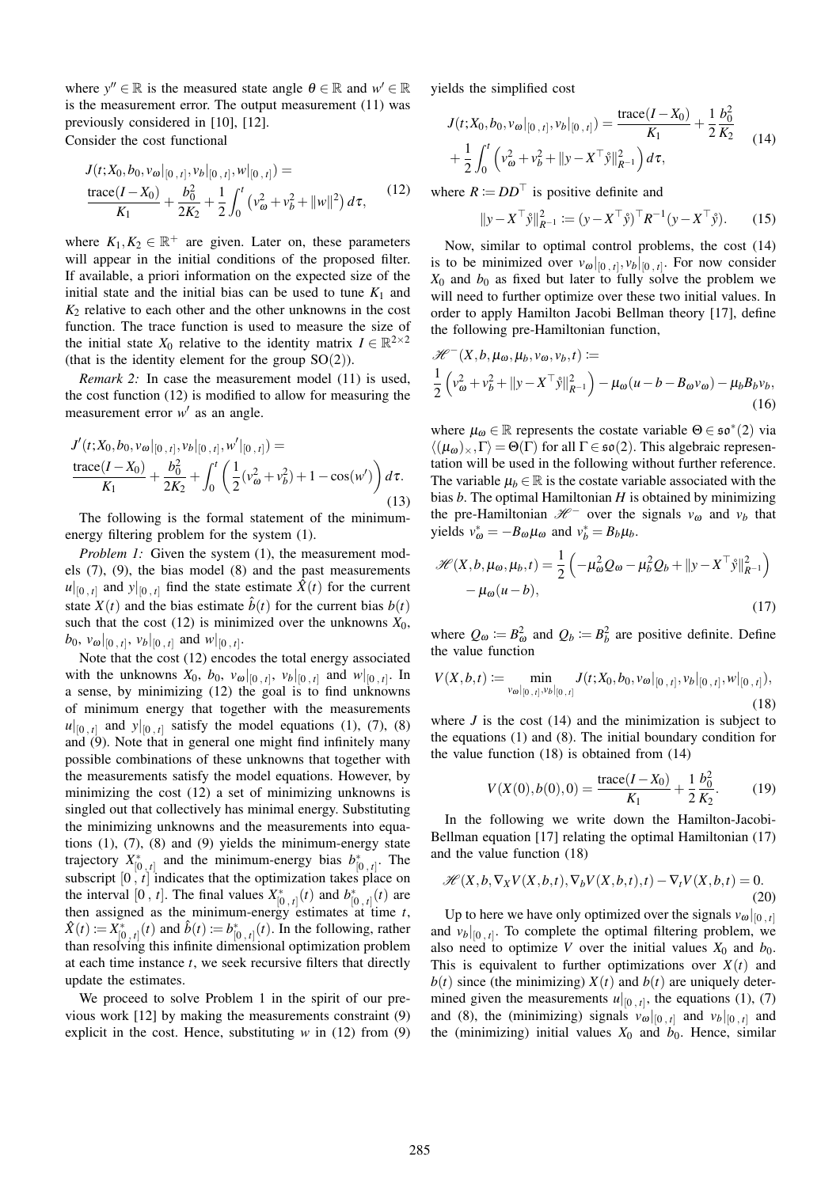where  $y'' \in \mathbb{R}$  is the measured state angle  $\theta \in \mathbb{R}$  and  $w' \in \mathbb{R}$ is the measurement error. The output measurement (11) was previously considered in [10], [12]. Consider the cost functional

$$
J(t; X_0, b_0, v_{\omega}|_{[0, t]}, v_{b}|_{[0, t]}, w|_{[0, t]}) =
$$
  
\n
$$
\frac{\text{trace}(I - X_0)}{K_1} + \frac{b_0^2}{2K_2} + \frac{1}{2} \int_0^t \left(v_{\omega}^2 + v_b^2 + ||w||^2\right) d\tau,
$$
\n(12)

where  $K_1, K_2 \in \mathbb{R}^+$  are given. Later on, these parameters will appear in the initial conditions of the proposed filter. If available, a priori information on the expected size of the initial state and the initial bias can be used to tune  $K_1$  and  $K<sub>2</sub>$  relative to each other and the other unknowns in the cost function. The trace function is used to measure the size of the initial state  $X_0$  relative to the identity matrix  $I \in \mathbb{R}^{2 \times 2}$ (that is the identity element for the group  $SO(2)$ ).

*Remark 2:* In case the measurement model (11) is used, the cost function (12) is modified to allow for measuring the measurement error w' as an angle.

$$
J'(t; X_0, b_0, v_{\omega}|_{[0, t]}, v_{b}|_{[0, t]}, w'|_{[0, t]}) =
$$
  
\n
$$
\frac{\text{trace}(I - X_0)}{K_1} + \frac{b_0^2}{2K_2} + \int_0^t \left(\frac{1}{2}(v_{\omega}^2 + v_b^2) + 1 - \cos(w')\right) d\tau.
$$
\n(13)

The following is the formal statement of the minimumenergy filtering problem for the system (1).

*Problem 1:* Given the system (1), the measurement models (7), (9), the bias model (8) and the past measurements  $||u||_{[0, t]}$  and  $||y||_{[0, t]}$  find the state estimate  $\hat{X}(t)$  for the current state *X*(*t*) and the bias estimate  $\hat{b}(t)$  for the current bias *b*(*t*) such that the cost  $(12)$  is minimized over the unknowns  $X_0$ , *b*<sub>0</sub>,  $v_{\omega}|_{[0, t]}, v_{b}|_{[0, t]}$  and  $w|_{[0, t]}.$ 

Note that the cost (12) encodes the total energy associated with the unknowns  $X_0$ ,  $b_0$ ,  $v_{\omega}|_{[0, t]}$ ,  $v_b|_{[0, t]}$  and  $w|_{[0, t]}$ . In a sense, by minimizing (12) the goal is to find unknowns of minimum energy that together with the measurements  $|u|_{[0, t]}$  and  $y|_{[0, t]}$  satisfy the model equations (1), (7), (8) and (9). Note that in general one might find infinitely many possible combinations of these unknowns that together with the measurements satisfy the model equations. However, by minimizing the cost (12) a set of minimizing unknowns is singled out that collectively has minimal energy. Substituting the minimizing unknowns and the measurements into equations (1), (7), (8) and (9) yields the minimum-energy state trajectory  $X^*_{[0, t]}$  and the minimum-energy bias  $b^*_{[0, t]}$ . The subscript  $[0, t]$  indicates that the optimization takes place on the interval  $[0, t]$ . The final values  $X^*_{[0, t]}(t)$  and  $b^*_{[0, t]}(t)$  are then assigned as the minimum-energy estimates at time *t*,  $\hat{X}(t) := X_{[0, t]}^*(t)$  and  $\hat{b}(t) := b_{[0, t]}^*(t)$ . In the following, rather than resolving this infinite dimensional optimization problem at each time instance *t*, we seek recursive filters that directly update the estimates.

We proceed to solve Problem 1 in the spirit of our previous work [12] by making the measurements constraint (9) explicit in the cost. Hence, substituting  $w$  in (12) from (9) yields the simplified cost

$$
J(t; X_0, b_0, v_{\omega}|_{[0, t]}, v_b|_{[0, t]}) = \frac{\text{trace}(I - X_0)}{K_1} + \frac{1}{2} \frac{b_0^2}{K_2} + \frac{1}{2} \int_0^t \left(v_{\omega}^2 + v_b^2 + ||y - X^{\top} \hat{y}||_{R^{-1}}^2\right) d\tau,
$$
\n(14)

where  $R := DD^{\top}$  is positive definite and

$$
||y - X^{\top} \mathbf{\hat{y}}||_{R^{-1}}^2 := (y - X^{\top} \mathbf{\hat{y}})^{\top} R^{-1} (y - X^{\top} \mathbf{\hat{y}}).
$$
 (15)

Now, similar to optimal control problems, the cost (14) is to be minimized over  $v_{\omega}|_{[0, t]}, v_{b}|_{[0, t]}.$  For now consider  $X_0$  and  $b_0$  as fixed but later to fully solve the problem we will need to further optimize over these two initial values. In order to apply Hamilton Jacobi Bellman theory [17], define the following pre-Hamiltonian function,

$$
\mathcal{H}^{-}(X, b, \mu_{\omega}, \mu_{b}, v_{\omega}, v_{b}, t) :=
$$
  

$$
\frac{1}{2} \left( v_{\omega}^{2} + v_{b}^{2} + ||y - X^{\top} \hat{y}||_{R^{-1}}^{2} \right) - \mu_{\omega} (u - b - B_{\omega} v_{\omega}) - \mu_{b} B_{b} v_{b},
$$
  
(16)

where  $\mu_{\omega} \in \mathbb{R}$  represents the costate variable  $\Theta \in \mathfrak{so}^*(2)$  via  $\langle (\mu_{\omega})_{\times}, \Gamma \rangle = \Theta(\Gamma)$  for all  $\Gamma \in \mathfrak{so}(2)$ . This algebraic representation will be used in the following without further reference. The variable  $\mu_b \in \mathbb{R}$  is the costate variable associated with the bias *b*. The optimal Hamiltonian *H* is obtained by minimizing the pre-Hamiltonian  $\mathcal{H}^-$  over the signals  $v_{\omega}$  and  $v_{b}$  that yields  $v_{\omega}^* = -B_{\omega}\mu_{\omega}$  and  $v_b^* = B_b\mu_b$ .

$$
\mathcal{H}(X, b, \mu_{\omega}, \mu_b, t) = \frac{1}{2} \left( -\mu_{\omega}^2 Q_{\omega} - \mu_b^2 Q_b + ||y - X^{\top} \mathring{y}||_{R^{-1}}^2 \right) - \mu_{\omega}(u - b),
$$
\n(17)

where  $Q_{\omega} := B_{\omega}^2$  and  $Q_b := B_b^2$  are positive definite. Define the value function

$$
V(X, b, t) := \min_{v_{\omega}|_{[0, t]}, v_{b}|_{[0, t]}} J(t; X_0, b_0, v_{\omega}|_{[0, t]}, v_{b}|_{[0, t]}, w|_{[0, t]}),
$$
\n(18)

where  $J$  is the cost  $(14)$  and the minimization is subject to the equations (1) and (8). The initial boundary condition for the value function (18) is obtained from (14)

$$
V(X(0), b(0), 0) = \frac{\text{trace}(I - X_0)}{K_1} + \frac{1}{2} \frac{b_0^2}{K_2}.
$$
 (19)

In the following we write down the Hamilton-Jacobi-Bellman equation [17] relating the optimal Hamiltonian (17) and the value function (18)

$$
\mathcal{H}(X, b, \nabla_X V(X, b, t), \nabla_b V(X, b, t), t) - \nabla_t V(X, b, t) = 0.
$$
\n(20)

Up to here we have only optimized over the signals  $v_{\omega}|_{[0, t]}$ and  $v_b|_{[0, t]}$ . To complete the optimal filtering problem, we also need to optimize *V* over the initial values  $X_0$  and  $b_0$ . This is equivalent to further optimizations over  $X(t)$  and  $b(t)$  since (the minimizing)  $X(t)$  and  $b(t)$  are uniquely determined given the measurements  $u|_{[0, t]}$ , the equations (1), (7) and (8), the (minimizing) signals  $v_{\omega}|_{[0, t]}$  and  $v_{b}|_{[0, t]}$  and the (minimizing) initial values  $X_0$  and  $b_0$ . Hence, similar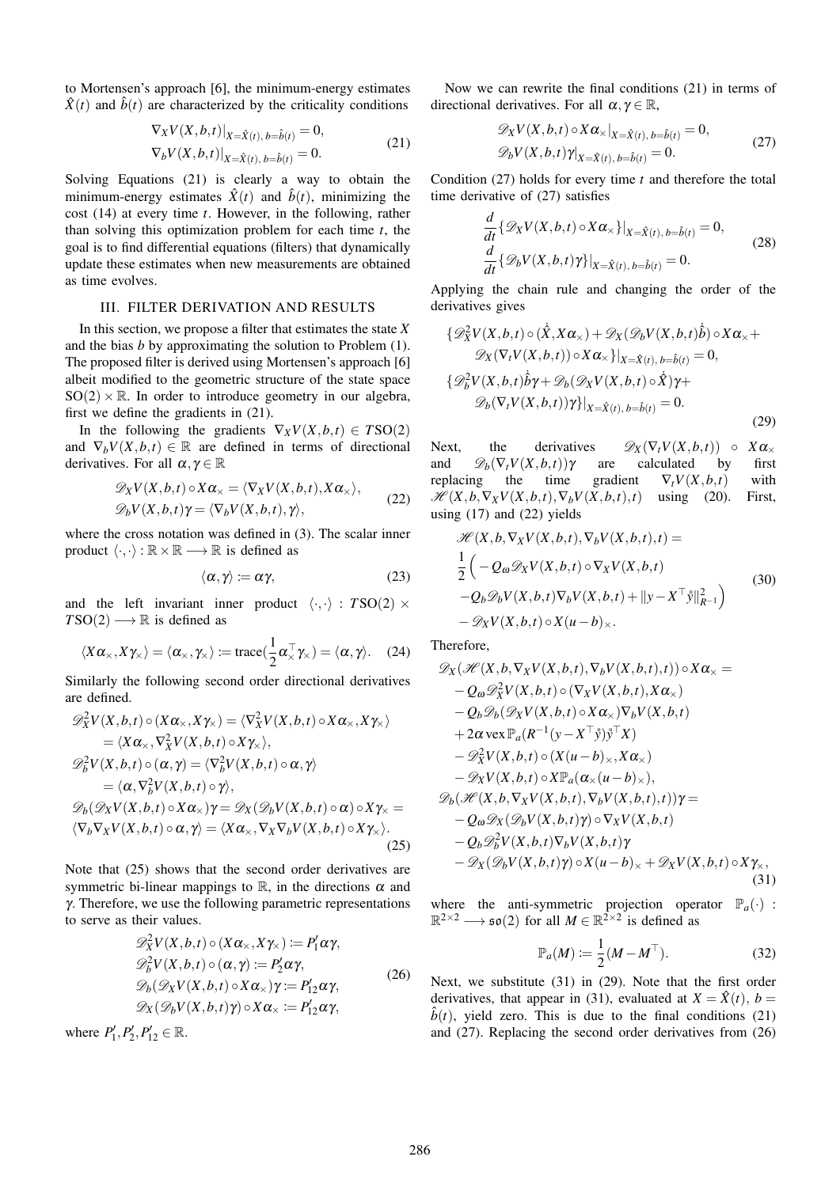to Mortensen's approach [6], the minimum-energy estimates  $\hat{X}(t)$  and  $\hat{b}(t)$  are characterized by the criticality conditions

$$
\nabla_X V(X, b, t)|_{X = \hat{X}(t), b = \hat{b}(t)} = 0,\n\nabla_b V(X, b, t)|_{X = \hat{X}(t), b = \hat{b}(t)} = 0.
$$
\n(21)

Solving Equations (21) is clearly a way to obtain the minimum-energy estimates  $\hat{X}(t)$  and  $\hat{b}(t)$ , minimizing the cost (14) at every time *t*. However, in the following, rather than solving this optimization problem for each time *t*, the goal is to find differential equations (filters) that dynamically update these estimates when new measurements are obtained as time evolves.

## III. FILTER DERIVATION AND RESULTS

In this section, we propose a filter that estimates the state *X* and the bias *b* by approximating the solution to Problem (1). The proposed filter is derived using Mortensen's approach [6] albeit modified to the geometric structure of the state space  $SO(2) \times \mathbb{R}$ . In order to introduce geometry in our algebra, first we define the gradients in (21).

In the following the gradients  $\nabla_X V(X, b, t) \in TSO(2)$ and  $\nabla_b V(X, b, t) \in \mathbb{R}$  are defined in terms of directional derivatives. For all  $\alpha, \gamma \in \mathbb{R}$ 

$$
\mathcal{D}_X V(X, b, t) \circ X \alpha_{\times} = \langle \nabla_X V(X, b, t), X \alpha_{\times} \rangle, \n\mathcal{D}_b V(X, b, t) \gamma = \langle \nabla_b V(X, b, t), \gamma \rangle,
$$
\n(22)

where the cross notation was defined in (3). The scalar inner product  $\langle \cdot, \cdot \rangle : \mathbb{R} \times \mathbb{R} \longrightarrow \mathbb{R}$  is defined as

$$
\langle \alpha, \gamma \rangle \coloneqq \alpha \gamma,\tag{23}
$$

and the left invariant inner product  $\langle \cdot, \cdot \rangle$  :  $TSO(2) \times$  $TSO(2) \longrightarrow \mathbb{R}$  is defined as

$$
\langle X\alpha_{\times}, X\gamma_{\times}\rangle = \langle \alpha_{\times}, \gamma_{\times}\rangle \coloneqq \text{trace}(\frac{1}{2}\alpha_{\times}^{\top}\gamma_{\times}) = \langle \alpha, \gamma \rangle. \quad (24)
$$

Similarly the following second order directional derivatives are defined.

$$
\mathcal{D}_{X}^{2}V(X,b,t) \circ (X\alpha_{\times}, X\gamma_{\times}) = \langle \nabla_{X}^{2}V(X,b,t) \circ X\alpha_{\times}, X\gamma_{\times} \rangle \n= \langle X\alpha_{\times}, \nabla_{X}^{2}V(X,b,t) \circ X\gamma_{\times} \rangle, \n\mathcal{D}_{b}^{2}V(X,b,t) \circ (\alpha,\gamma) = \langle \nabla_{b}^{2}V(X,b,t) \circ \alpha, \gamma \rangle \n= \langle \alpha, \nabla_{b}^{2}V(X,b,t) \circ \gamma \rangle, \n\mathcal{D}_{b}(\mathcal{D}_{X}V(X,b,t) \circ X\alpha_{\times})\gamma = \mathcal{D}_{X}(\mathcal{D}_{b}V(X,b,t) \circ \alpha) \circ X\gamma_{\times} = \langle \nabla_{b}\nabla_{X}V(X,b,t) \circ \alpha, \gamma \rangle = \langle X\alpha_{\times}, \nabla_{X}\nabla_{b}V(X,b,t) \circ X\gamma_{\times} \rangle.
$$
\n(25)

Note that (25) shows that the second order derivatives are symmetric bi-linear mappings to  $\mathbb R$ , in the directions  $\alpha$  and γ. Therefore, we use the following parametric representations to serve as their values.

$$
\mathcal{D}_{X}^{2}V(X,b,t) \circ (X\alpha_{\times}, X\gamma_{\times}) := P_{1}'\alpha\gamma,
$$
  
\n
$$
\mathcal{D}_{b}^{2}V(X,b,t) \circ (\alpha,\gamma) := P_{2}'\alpha\gamma,
$$
  
\n
$$
\mathcal{D}_{b}(\mathcal{D}_{X}V(X,b,t) \circ X\alpha_{\times})\gamma := P_{12}'\alpha\gamma,
$$
  
\n
$$
\mathcal{D}_{X}(\mathcal{D}_{b}V(X,b,t)\gamma) \circ X\alpha_{\times} := P_{12}'\alpha\gamma,
$$
\n(26)

where  $P'_1, P'_2, P'_{12} \in \mathbb{R}$ .

Now we can rewrite the final conditions (21) in terms of directional derivatives. For all  $\alpha, \gamma \in \mathbb{R}$ ,

$$
\mathcal{D}_X V(X, b, t) \circ X \alpha_{\times}|_{X = \hat{X}(t), b = \hat{b}(t)} = 0,
$$
  

$$
\mathcal{D}_b V(X, b, t) \gamma|_{X = \hat{X}(t), b = \hat{b}(t)} = 0.
$$
 (27)

Condition (27) holds for every time *t* and therefore the total time derivative of (27) satisfies

$$
\frac{d}{dt} \{ \mathcal{D}_X V(X, b, t) \circ X \alpha_{\times} \} |_{X = \hat{X}(t), b = \hat{b}(t)} = 0,
$$
\n
$$
\frac{d}{dt} \{ \mathcal{D}_b V(X, b, t) \gamma \} |_{X = \hat{X}(t), b = \hat{b}(t)} = 0.
$$
\n(28)

Applying the chain rule and changing the order of the derivatives gives

$$
\{\mathcal{D}_{X}^{2}V(X,b,t)\circ(\dot{X},X\alpha_{x})+\mathcal{D}_{X}(\mathcal{D}_{b}V(X,b,t)\dot{b})\circ X\alpha_{x}+\n\mathcal{D}_{X}(\nabla_{t}V(X,b,t))\circ X\alpha_{x}\}\big|_{X=\dot{X}(t), b=\dot{b}(t)}=0,
$$
\n
$$
\{\mathcal{D}_{b}^{2}V(X,b,t)\dot{b}\gamma+\mathcal{D}_{b}(\mathcal{D}_{X}V(X,b,t)\circ\dot{X})\gamma+\n\mathcal{D}_{b}(\nabla_{t}V(X,b,t))\gamma\}\big|_{X=\dot{X}(t), b=\dot{b}(t)}=0.
$$
\n(29)

Next, the derivatives  $\mathscr{D}_X(\nabla_t V(X, b, t)) \circ X \alpha_\times$ and  $\mathscr{D}_b(\nabla_t V(X, b, t))\gamma$  are calculated by first replacing the time gradient  $\nabla_t V(X, b, t)$  with  $\mathcal{H}(X, b, \nabla_X V(X, b, t), \nabla_b V(X, b, t), t)$  using (20). First, using (17) and (22) yields

$$
\mathcal{H}(X, b, \nabla_X V(X, b, t), \nabla_b V(X, b, t), t) =
$$
\n
$$
\frac{1}{2} \left( -Q_{\omega} \mathcal{D}_X V(X, b, t) \circ \nabla_X V(X, b, t) -Q_b \mathcal{D}_b V(X, b, t) \nabla_b V(X, b, t) + ||y - X^{\top} \hat{y}||_{R^{-1}}^2 \right)
$$
\n
$$
- \mathcal{D}_X V(X, b, t) \circ X(u - b)_\times.
$$
\n(30)

Therefore,

$$
\mathcal{D}_X(\mathcal{H}(X,b,\nabla_X V(X,b,t),\nabla_b V(X,b,t),t)) \circ X \alpha_{\times} =
$$
\n
$$
-Q_{\omega} \mathcal{D}_X^2 V(X,b,t) \circ (\nabla_X V(X,b,t),X \alpha_{\times})
$$
\n
$$
-Q_b \mathcal{D}_b(\mathcal{D}_X V(X,b,t) \circ X \alpha_{\times}) \nabla_b V(X,b,t)
$$
\n
$$
+2\alpha \operatorname{vex} \mathbb{P}_a (R^{-1}(y-X^{\top}\hat{y})\hat{y}^{\top}X)
$$
\n
$$
- \mathcal{D}_X^2 V(X,b,t) \circ (X(u-b)_{\times},X\alpha_{\times})
$$
\n
$$
- \mathcal{D}_X V(X,b,t) \circ X \mathbb{P}_a(\alpha_{\times}(u-b)_{\times}),
$$
\n
$$
\mathcal{D}_b(\mathcal{H}(X,b,\nabla_X V(X,b,t),\nabla_b V(X,b,t),t))\gamma =
$$
\n
$$
-Q_{\omega} \mathcal{D}_X(\mathcal{D}_b V(X,b,t)\gamma) \circ \nabla_X V(X,b,t)
$$
\n
$$
- \mathcal{D}_b \mathcal{D}_b^2 V(X,b,t) \nabla_b V(X,b,t)\gamma
$$
\n
$$
- \mathcal{D}_X(\mathcal{D}_b V(X,b,t)\gamma) \circ X(u-b)_{\times} + \mathcal{D}_X V(X,b,t) \circ X \gamma_{\times},
$$
\n(31)

where the anti-symmetric projection operator  $\mathbb{P}_a(\cdot)$  :  $\mathbb{R}^{2 \times 2} \longrightarrow$   $\mathfrak{so}(2)$  for all  $M \in \mathbb{R}^{2 \times 2}$  is defined as

$$
\mathbb{P}_a(M) \coloneqq \frac{1}{2}(M - M^\top). \tag{32}
$$

Next, we substitute (31) in (29). Note that the first order derivatives, that appear in (31), evaluated at  $X = \hat{X}(t)$ ,  $b =$  $\hat{b}(t)$ , yield zero. This is due to the final conditions (21) and (27). Replacing the second order derivatives from (26)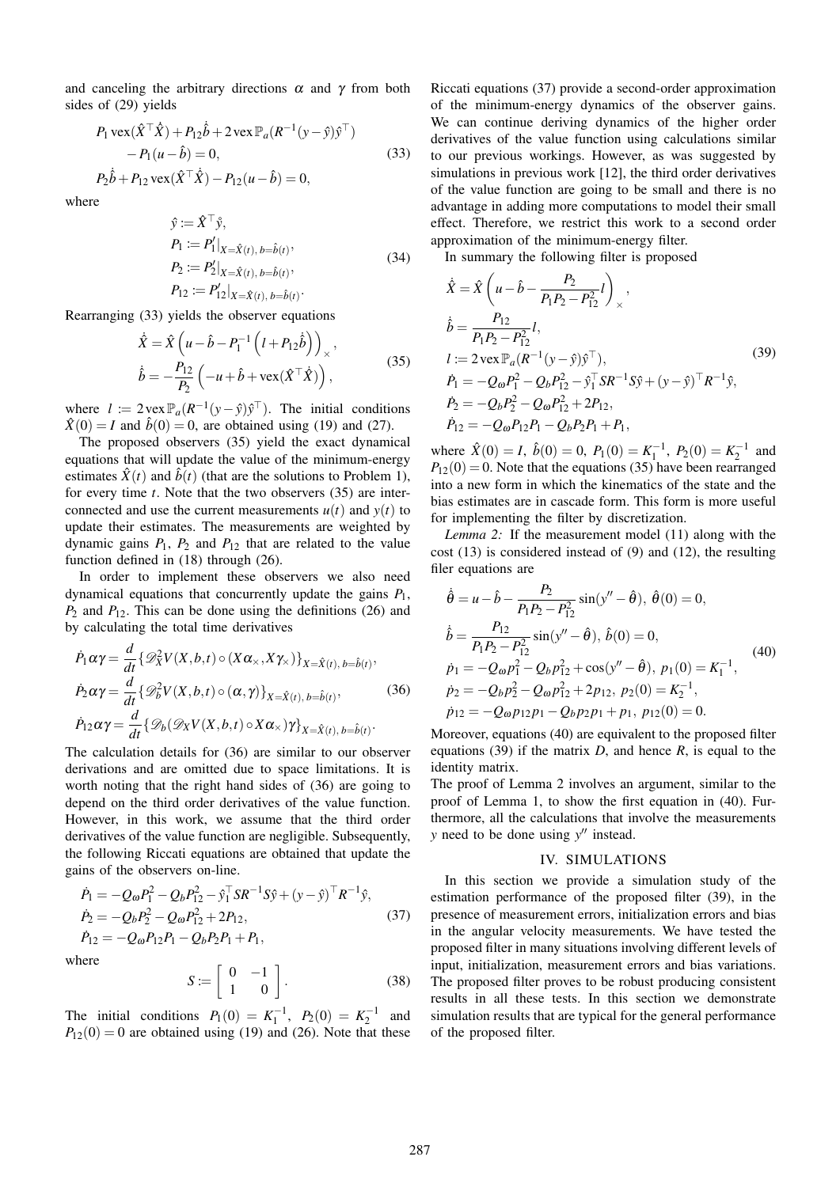and canceling the arbitrary directions  $\alpha$  and  $\gamma$  from both sides of (29) yields

$$
P_1 \text{ vex}(\hat{X}^\top \hat{X}) + P_{12} \hat{b} + 2 \text{ vex} \mathbb{P}_a (R^{-1} (y - \hat{y}) \hat{y}^\top) - P_1 (u - \hat{b}) = 0, P_2 \hat{b} + P_{12} \text{ vex}(\hat{X}^\top \hat{X}) - P_{12} (u - \hat{b}) = 0,
$$
 (33)

where

$$
\hat{y} := \hat{X}^{\top} \hat{y}, \nP_1 := P'_1|_{X = \hat{X}(t), b = \hat{b}(t)}, \nP_2 := P'_2|_{X = \hat{X}(t), b = \hat{b}(t)}, \nP_{12} := P'_12|_{X = \hat{X}(t), b = \hat{b}(t)}.
$$
\n(34)

Rearranging (33) yields the observer equations

$$
\dot{\hat{X}} = \hat{X} \left( u - \hat{b} - P_1^{-1} \left( l + P_{12} \dot{\hat{b}} \right) \right)_{\times},
$$
\n
$$
\dot{\hat{b}} = -\frac{P_{12}}{P_2} \left( -u + \hat{b} + \text{vex}(\hat{X}^\top \dot{\hat{X}}) \right),
$$
\n(35)

where  $l := 2 \text{vex} \mathbb{P}_a(R^{-1}(y-\hat{y})\hat{y}^\top)$ . The initial conditions  $\hat{X}(0) = I$  and  $\hat{b}(0) = 0$ , are obtained using (19) and (27).

The proposed observers (35) yield the exact dynamical equations that will update the value of the minimum-energy estimates  $\hat{X}(t)$  and  $\hat{b}(t)$  (that are the solutions to Problem 1), for every time *t*. Note that the two observers (35) are interconnected and use the current measurements  $u(t)$  and  $y(t)$  to update their estimates. The measurements are weighted by dynamic gains  $P_1$ ,  $P_2$  and  $P_{12}$  that are related to the value function defined in (18) through (26).

In order to implement these observers we also need dynamical equations that concurrently update the gains *P*1, *P*<sup>2</sup> and *P*12. This can be done using the definitions (26) and by calculating the total time derivatives

$$
\dot{P}_1 \alpha \gamma = \frac{d}{dt} \{ \mathcal{D}_X^2 V(X, b, t) \circ (X \alpha_X, X \gamma_X) \}_{X = \hat{X}(t), b = \hat{b}(t)}, \n\dot{P}_2 \alpha \gamma = \frac{d}{dt} \{ \mathcal{D}_b^2 V(X, b, t) \circ (\alpha, \gamma) \}_{X = \hat{X}(t), b = \hat{b}(t)}, \n\dot{P}_{12} \alpha \gamma = \frac{d}{dt} \{ \mathcal{D}_b (\mathcal{D}_X V(X, b, t) \circ X \alpha_X) \gamma \}_{X = \hat{X}(t), b = \hat{b}(t)}.
$$
\n(36)

The calculation details for (36) are similar to our observer derivations and are omitted due to space limitations. It is worth noting that the right hand sides of (36) are going to depend on the third order derivatives of the value function. However, in this work, we assume that the third order derivatives of the value function are negligible. Subsequently, the following Riccati equations are obtained that update the gains of the observers on-line.

$$
\dot{P}_1 = -Q_{\omega}P_1^2 - Q_bP_{12}^2 - \hat{y}_1^T SR^{-1}S\hat{y} + (y - \hat{y})^T R^{-1}\hat{y}, \n\dot{P}_2 = -Q_bP_2^2 - Q_{\omega}P_{12}^2 + 2P_{12}, \n\dot{P}_{12} = -Q_{\omega}P_{12}P_1 - Q_bP_2P_1 + P_1,
$$
\n(37)

where

$$
S \coloneqq \left[ \begin{array}{cc} 0 & -1 \\ 1 & 0 \end{array} \right]. \tag{38}
$$

The initial conditions  $P_1(0) = K_1^{-1}$ ,  $P_2(0) = K_2^{-1}$  and  $P_{12}(0) = 0$  are obtained using (19) and (26). Note that these Riccati equations (37) provide a second-order approximation of the minimum-energy dynamics of the observer gains. We can continue deriving dynamics of the higher order derivatives of the value function using calculations similar to our previous workings. However, as was suggested by simulations in previous work [12], the third order derivatives of the value function are going to be small and there is no advantage in adding more computations to model their small effect. Therefore, we restrict this work to a second order approximation of the minimum-energy filter.

In summary the following filter is proposed

$$
\dot{\hat{X}} = \hat{X} \left( u - \hat{b} - \frac{P_2}{P_1 P_2 - P_{12}^2} l \right)_{\times},
$$
\n
$$
\dot{\hat{b}} = \frac{P_{12}}{P_1 P_2 - P_{12}^2} l,
$$
\n
$$
l := 2 \operatorname{vex} \mathbb{P}_a (R^{-1} (y - \hat{y}) \hat{y}^\top),
$$
\n
$$
\dot{P}_1 = -Q_{\omega} P_1^2 - Q_b P_{12}^2 - \hat{y}_1^\top S R^{-1} S \hat{y} + (y - \hat{y})^\top R^{-1} \hat{y},
$$
\n
$$
\dot{P}_2 = -Q_b P_2^2 - Q_{\omega} P_{12}^2 + 2P_{12},
$$
\n
$$
\dot{P}_{12} = -Q_{\omega} P_{12} P_1 - Q_b P_2 P_1 + P_1,
$$
\n(39)

where  $\hat{X}(0) = I$ ,  $\hat{b}(0) = 0$ ,  $P_1(0) = K_1^{-1}$ ,  $P_2(0) = K_2^{-1}$  and  $P_{12}(0) = 0$ . Note that the equations (35) have been rearranged into a new form in which the kinematics of the state and the bias estimates are in cascade form. This form is more useful for implementing the filter by discretization.

*Lemma 2:* If the measurement model (11) along with the cost (13) is considered instead of (9) and (12), the resulting filer equations are

$$
\dot{\hat{\theta}} = u - \hat{b} - \frac{P_2}{P_1 P_2 - P_{12}^2} \sin(y'' - \hat{\theta}), \ \hat{\theta}(0) = 0,
$$
  
\n
$$
\dot{\hat{b}} = \frac{P_{12}}{P_1 P_2 - P_{12}^2} \sin(y'' - \hat{\theta}), \ \hat{b}(0) = 0,
$$
  
\n
$$
\dot{p}_1 = -Q_{\omega} p_1^2 - Q_b p_{12}^2 + \cos(y'' - \hat{\theta}), \ p_1(0) = K_1^{-1},
$$
  
\n
$$
\dot{p}_2 = -Q_b p_2^2 - Q_{\omega} p_{12}^2 + 2p_{12}, \ p_2(0) = K_2^{-1},
$$
  
\n
$$
\dot{p}_{12} = -Q_{\omega} p_{12} p_1 - Q_b p_2 p_1 + p_1, \ p_{12}(0) = 0.
$$
\n(40)

Moreover, equations (40) are equivalent to the proposed filter equations (39) if the matrix *D*, and hence *R*, is equal to the identity matrix.

The proof of Lemma 2 involves an argument, similar to the proof of Lemma 1, to show the first equation in (40). Furthermore, all the calculations that involve the measurements *y* need to be done using *y*<sup>"</sup> instead.

# IV. SIMULATIONS

In this section we provide a simulation study of the estimation performance of the proposed filter (39), in the presence of measurement errors, initialization errors and bias in the angular velocity measurements. We have tested the proposed filter in many situations involving different levels of input, initialization, measurement errors and bias variations. The proposed filter proves to be robust producing consistent results in all these tests. In this section we demonstrate simulation results that are typical for the general performance of the proposed filter.